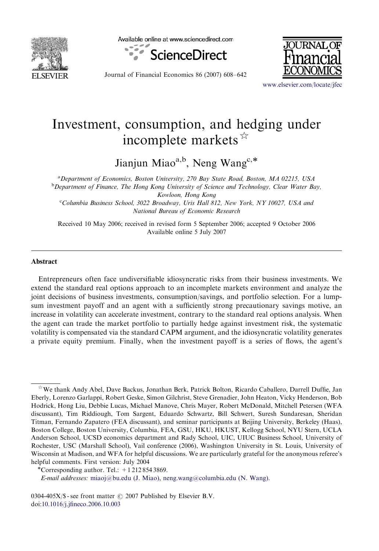

Available online at www.sciencedirect.com



Journal of Financial Economics 86 (2007) 608–642

<www.elsevier.com/locate/jfec>

## Investment, consumption, and hedging under incomplete markets  $\mathbb{R}$

Jianjun Miao<sup>a,b</sup>, Neng Wang<sup>c,\*</sup>

<sup>a</sup> Department of Economics, Boston University, 270 Bay State Road, Boston, MA 02215, USA <sup>b</sup>Department of Finance, The Hong Kong University of Science and Technology, Clear Water Bay, Kowloon, Hong Kong Columbia Business School, 3022 Broadway, Uris Hall 812, New York, NY 10027, USA and

National Bureau of Economic Research

Received 10 May 2006; received in revised form 5 September 2006; accepted 9 October 2006 Available online 5 July 2007

## Abstract

Entrepreneurs often face undiversifiable idiosyncratic risks from their business investments. We extend the standard real options approach to an incomplete markets environment and analyze the joint decisions of business investments, consumption/savings, and portfolio selection. For a lumpsum investment payoff and an agent with a sufficiently strong precautionary savings motive, an increase in volatility can accelerate investment, contrary to the standard real options analysis. When the agent can trade the market portfolio to partially hedge against investment risk, the systematic volatility is compensated via the standard CAPM argument, and the idiosyncratic volatility generates a private equity premium. Finally, when the investment payoff is a series of flows, the agent's

 $\dot{\mathbb{X}}$  We thank Andy Abel, Dave Backus, Jonathan Berk, Patrick Bolton, Ricardo Caballero, Darrell Duffie, Jan Eberly, Lorenzo Garlappi, Robert Geske, Simon Gilchrist, Steve Grenadier, John Heaton, Vicky Henderson, Bob Hodrick, Hong Liu, Debbie Lucas, Michael Manove, Chris Mayer, Robert McDonald, Mitchell Petersen (WFA discussant), Tim Riddiough, Tom Sargent, Eduardo Schwartz, Bill Schwert, Suresh Sundaresan, Sheridan Titman, Fernando Zapatero (FEA discussant), and seminar participants at Beijing University, Berkeley (Haas), Boston College, Boston University, Columbia, FEA, GSU, HKU, HKUST, Kellogg School, NYU Stern, UCLA Anderson School, UCSD economics department and Rady School, UIC, UIUC Business School, University of Rochester, USC (Marshall School), Vail conference (2006), Washington University in St. Louis, University of Wisconsin at Madison, and WFA for helpful discussions. We are particularly grateful for the anonymous referee's helpful comments. First version: July 2004

<sup>\*</sup>Corresponding author. Tel.:  $+12128543869$ .

E-mail addresses: [miaoj@bu.edu \(J. Miao\),](mailto:miaoj@bu.edu) [neng.wang@columbia.edu \(N. Wang\)](mailto:neng.wang@columbia.edu).

<sup>0304-405</sup>X/\$ - see front matter  $\odot$  2007 Published by Elsevier B.V. doi[:10.1016/j.jfineco.2006.10.003](dx.doi.org/10.1016/j.jfineco.2006.10.003)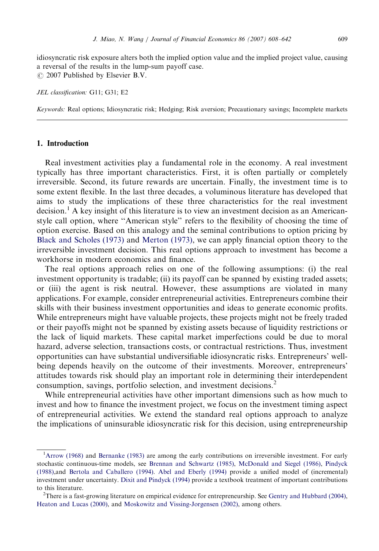idiosyncratic risk exposure alters both the implied option value and the implied project value, causing a reversal of the results in the lump-sum payoff case.  $\odot$  2007 Published by Elsevier B.V.

JEL classification: G11; G31; E2

Keywords: Real options; Idiosyncratic risk; Hedging; Risk aversion; Precautionary savings; Incomplete markets

## 1. Introduction

Real investment activities play a fundamental role in the economy. A real investment typically has three important characteristics. First, it is often partially or completely irreversible. Second, its future rewards are uncertain. Finally, the investment time is to some extent flexible. In the last three decades, a voluminous literature has developed that aims to study the implications of these three characteristics for the real investment decision.<sup>1</sup> A key insight of this literature is to view an investment decision as an Americanstyle call option, where ''American style'' refers to the flexibility of choosing the time of option exercise. Based on this analogy and the seminal contributions to option pricing by [Black and Scholes \(1973\)](#page--1-0) and [Merton \(1973\),](#page--1-0) we can apply financial option theory to the irreversible investment decision. This real options approach to investment has become a workhorse in modern economics and finance.

The real options approach relies on one of the following assumptions: (i) the real investment opportunity is tradable; (ii) its payoff can be spanned by existing traded assets; or (iii) the agent is risk neutral. However, these assumptions are violated in many applications. For example, consider entrepreneurial activities. Entrepreneurs combine their skills with their business investment opportunities and ideas to generate economic profits. While entrepreneurs might have valuable projects, these projects might not be freely traded or their payoffs might not be spanned by existing assets because of liquidity restrictions or the lack of liquid markets. These capital market imperfections could be due to moral hazard, adverse selection, transactions costs, or contractual restrictions. Thus, investment opportunities can have substantial undiversifiable idiosyncratic risks. Entrepreneurs' wellbeing depends heavily on the outcome of their investments. Moreover, entrepreneurs' attitudes towards risk should play an important role in determining their interdependent consumption, savings, portfolio selection, and investment decisions.<sup>2</sup>

While entrepreneurial activities have other important dimensions such as how much to invest and how to finance the investment project, we focus on the investment timing aspect of entrepreneurial activities. We extend the standard real options approach to analyze the implications of uninsurable idiosyncratic risk for this decision, using entrepreneurship

<sup>&</sup>lt;sup>1</sup>[Arrow \(1968\)](#page--1-0) and [Bernanke \(1983\)](#page--1-0) are among the early contributions on irreversible investment. For early stochastic continuous-time models, see [Brennan and Schwartz \(1985\),](#page--1-0) [McDonald and Siegel \(1986\)](#page--1-0), [Pindyck](#page--1-0) [\(1988\),](#page--1-0)and [Bertola and Caballero \(1994\)](#page--1-0). [Abel and Eberly \(1994\)](#page--1-0) provide a unified model of (incremental) investment under uncertainty. [Dixit and Pindyck \(1994\)](#page--1-0) provide a textbook treatment of important contributions to this literature.

<sup>&</sup>lt;sup>2</sup>There is a fast-growing literature on empirical evidence for entrepreneurship. See [Gentry and Hubbard \(2004\)](#page--1-0), [Heaton and Lucas \(2000\),](#page--1-0) and [Moskowitz and Vissing-Jorgensen \(2002\),](#page--1-0) among others.